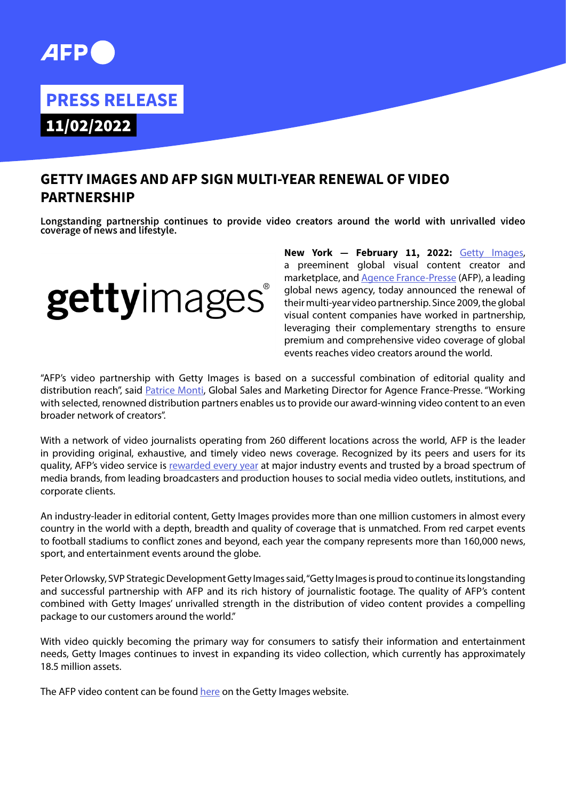# **PRESS RELEASE**

11/02/2022

## **GETTY IMAGES AND AFP SIGN MULTI-YEAR RENEWAL OF VIDEO PARTNERSHIP**

**Longstanding partnership continues to provide video creators around the world with unrivalled video coverage of news and lifestyle.**



**New York — February 11, 2022:** [Getty Images](http://www.gettyimages.com/), a preeminent global visual content creator and marketplace, and [Agence France-Presse](http://www.afp.com/en/) (AFP), a leading global news agency, today announced the renewal of their multi-year video partnership. Since 2009, the global visual content companies have worked in partnership, leveraging their complementary strengths to ensure premium and comprehensive video coverage of global events reaches video creators around the world.

"AFP's video partnership with Getty Images is based on a successful combination of editorial quality and distribution reach", said [Patrice Monti](https://www.linkedin.com/in/patricemonti/), Global Sales and Marketing Director for Agence France-Presse. "Working with selected, renowned distribution partners enables us to provide our award-winning video content to an even broader network of creators".

With a network of video journalists operating from 260 different locations across the world, AFP is the leader in providing original, exhaustive, and timely video news coverage. Recognized by its peers and users for its quality, AFP's video service is [rewarded every year](https://www.afp.com/en/agency/press-releases-newsletter/afps-video-production-wins-two-awards-one-week) at major industry events and trusted by a broad spectrum of media brands, from leading broadcasters and production houses to social media video outlets, institutions, and corporate clients.

An industry-leader in editorial content, Getty Images provides more than one million customers in almost every country in the world with a depth, breadth and quality of coverage that is unmatched. From red carpet events to football stadiums to conflict zones and beyond, each year the company represents more than 160,000 news, sport, and entertainment events around the globe.

Peter Orlowsky, SVP Strategic Development Getty Images said, "Getty Images is proud to continue its longstanding and successful partnership with AFP and its rich history of journalistic footage. The quality of AFP's content combined with Getty Images' unrivalled strength in the distribution of video content provides a compelling package to our customers around the world."

With video quickly becoming the primary way for consumers to satisfy their information and entertainment needs, Getty Images continues to invest in expanding its video collection, which currently has approximately 18.5 million assets.

The AFP video content can be found [here](https://www.gettyimages.com/videos/afp) on the Getty Images website.